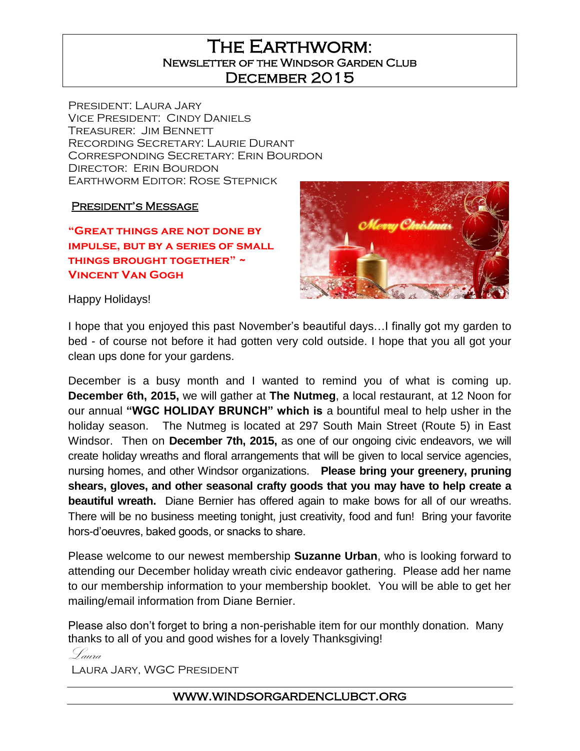The Earthworm: Newsletter of the Windsor Garden Club DECEMBER 2015

President: Laura Jary Vice President: Cindy Daniels Treasurer: Jim Bennett Recording Secretary: Laurie Durant Corresponding Secretary: Erin Bourdon DIRECTOR: ERIN BOURDON Earthworm Editor: Rose Stepnick

President's Message

**"Great things are not done by impulse, but by a series of small things brought together" ~ Vincent Van Gogh**



Happy Holidays!

I hope that you enjoyed this past November's beautiful days…I finally got my garden to bed - of course not before it had gotten very cold outside. I hope that you all got your clean ups done for your gardens.

December is a busy month and I wanted to remind you of what is coming up. **December 6th, 2015,** we will gather at **The Nutmeg**, a local restaurant, at 12 Noon for our annual **"WGC HOLIDAY BRUNCH" which is** a bountiful meal to help usher in the holiday season. The Nutmeg is located at 297 South Main Street (Route 5) in East Windsor. Then on **December 7th, 2015,** as one of our ongoing civic endeavors, we will create holiday wreaths and floral arrangements that will be given to local service agencies, nursing homes, and other Windsor organizations. **Please bring your greenery, pruning shears, gloves, and other seasonal crafty goods that you may have to help create a beautiful wreath.** Diane Bernier has offered again to make bows for all of our wreaths. There will be no business meeting tonight, just creativity, food and fun! Bring your favorite hors-d'oeuvres, baked goods, or snacks to share.

Please welcome to our newest membership **Suzanne Urban**, who is looking forward to attending our December holiday wreath civic endeavor gathering. Please add her name to our membership information to your membership booklet. You will be able to get her mailing/email information from Diane Bernier.

Please also don't forget to bring a non-perishable item for our monthly donation. Many thanks to all of you and good wishes for a lovely Thanksgiving!

Laura

Laura Jary, WGC President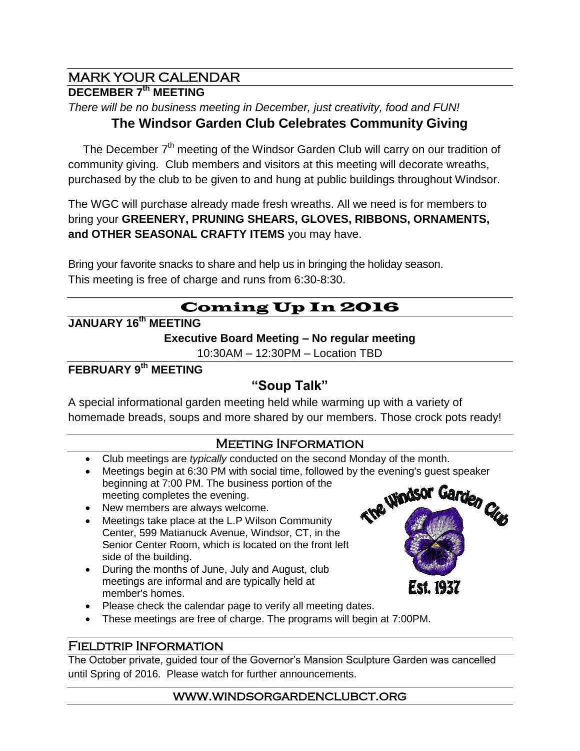# MARK YOUR CALENDAR

### **DECEMBER 7th MEETING**

*There will be no business meeting in December, just creativity, food and FUN!*

## **The Windsor Garden Club Celebrates Community Giving**

The December  $7<sup>th</sup>$  meeting of the Windsor Garden Club will carry on our tradition of community giving. Club members and visitors at this meeting will decorate wreaths, purchased by the club to be given to and hung at public buildings throughout Windsor.

The WGC will purchase already made fresh wreaths. All we need is for members to bring your **GREENERY, PRUNING SHEARS, GLOVES, RIBBONS, ORNAMENTS, and OTHER SEASONAL CRAFTY ITEMS** you may have.

Bring your favorite snacks to share and help us in bringing the holiday season. This meeting is free of charge and runs from 6:30-8:30.

# Coming Up In 2016

### **JANUARY 16th MEETING**

**Executive Board Meeting – No regular meeting**

10:30AM – 12:30PM – Location TBD

### **FEBRUARY 9 th MEETING**

### **"Soup Talk"**

A special informational garden meeting held while warming up with a variety of homemade breads, soups and more shared by our members. Those crock pots ready!

### Meeting Information

- Club meetings are *typically* conducted on the second Monday of the month.
- Meetings begin at 6:30 PM with social time, followed by the evening's guest speaker beginning at 7:00 PM. The business portion of the The Windsor Garden Club meeting completes the evening.
- New members are always welcome.
- Meetings take place at the L.P Wilson Community Center, 599 Matianuck Avenue, Windsor, CT, in the Senior Center Room, which is located on the front left side of the building.
- During the months of June, July and August, club meetings are informal and are typically held at member's homes.
- Please check the calendar page to verify all meeting dates.
- These meetings are free of charge. The programs will begin at 7:00PM.

#### Fieldtrip Information

The October private, guided tour of the Governor's Mansion Sculpture Garden was cancelled until Spring of 2016. Please watch for further announcements.

#### www.windsorgardenclubct.org

**Est. 1937**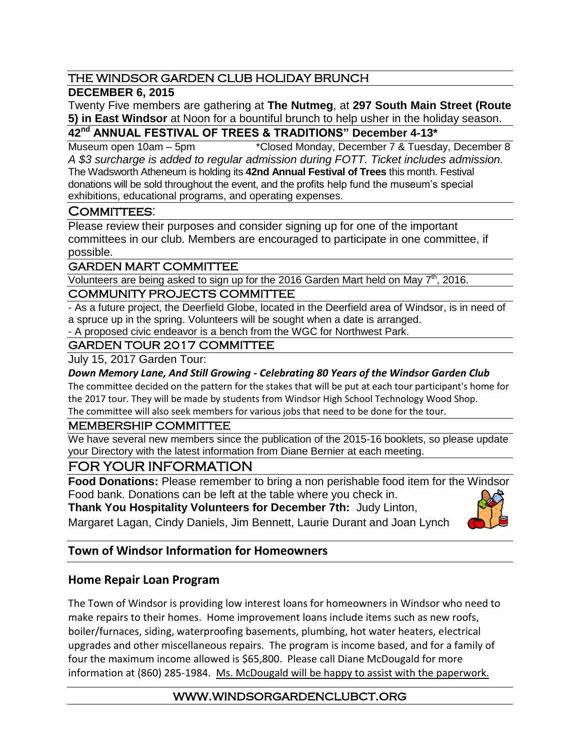### THE WINDSOR GARDEN CLUB HOLIDAY BRUNCH

### **DECEMBER 6, 2015**

Twenty Five members are gathering at **The Nutmeg**, at **297 South Main Street (Route 5) in East Windsor** at Noon for a bountiful brunch to help usher in the holiday season.

**42nd ANNUAL FESTIVAL OF TREES & TRADITIONS" December 4-13\***

Museum open 10am – 5pm \*Closed Monday, December 7 & Tuesday, December 8 *A \$3 surcharge is added to regular admission during FOTT. Ticket includes admission.* The Wadsworth Atheneum is holding its **42nd Annual Festival of Trees** this month. Festival donations will be sold throughout the event, and the profits help fund the museum's special exhibitions, educational programs, and operating expenses.

### COMMITTEES:

Please review their purposes and consider signing up for one of the important committees in our club. Members are encouraged to participate in one committee, if possible.

#### GARDEN MART COMMITTEE

Volunteers are being asked to sign up for the 2016 Garden Mart held on May 7<sup>th</sup>, 2016.

#### COMMUNITY PROJECTS COMMITTEE

- As a future project, the Deerfield Globe, located in the Deerfield area of Windsor, is in need of a spruce up in the spring. Volunteers will be sought when a date is arranged.

- A proposed civic endeavor is a bench from the WGC for Northwest Park.

### GARDEN TOUR 2017 COMMITTEE

July 15, 2017 Garden Tour:

#### *Down Memory Lane, And Still Growing - Celebrating 80 Years of the Windsor Garden Club*

The committee decided on the pattern for the stakes that will be put at each tour participant's home for the 2017 tour. They will be made by students from Windsor High School Technology Wood Shop.

The committee will also seek members for various jobs that need to be done for the tour.

#### MEMBERSHIP COMMITTEE

We have several new members since the publication of the 2015-16 booklets, so please update your Directory with the latest information from Diane Bernier at each meeting.

### FOR YOUR INFORMATION

**Food Donations:** Please remember to bring a non perishable food item for the Windsor Food bank. Donations can be left at the table where you check in.

**Thank You Hospitality Volunteers for December 7th:** Judy Linton,

Margaret Lagan, Cindy Daniels, Jim Bennett, Laurie Durant and Joan Lynch



### **Town of Windsor Information for Homeowners**

### **Home Repair Loan Program**

The Town of Windsor is providing low interest loans for homeowners in Windsor who need to make repairs to their homes. Home improvement loans include items such as new roofs, boiler/furnaces, siding, waterproofing basements, plumbing, hot water heaters, electrical upgrades and other miscellaneous repairs. The program is income based, and for a family of four the maximum income allowed is \$65,800. Please call Diane McDougald for more information at (860) 285-1984. Ms. McDougald will be happy to assist with the paperwork.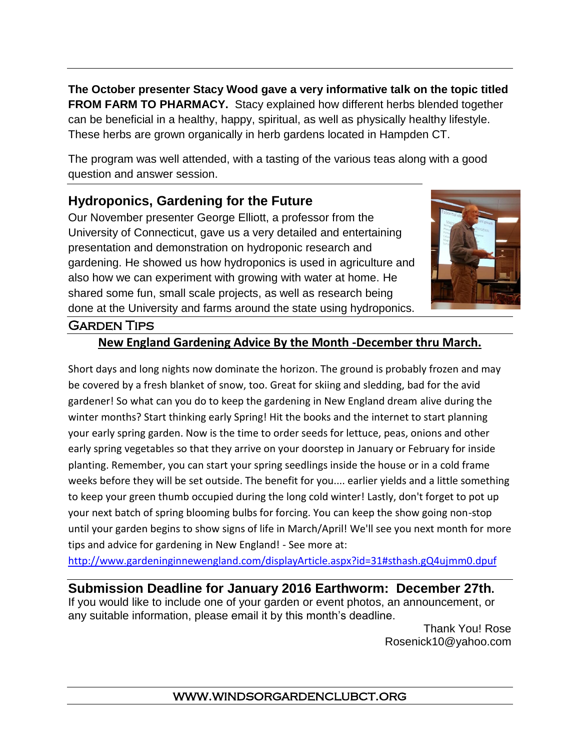**The October presenter Stacy Wood gave a very informative talk on the topic titled FROM FARM TO PHARMACY.** Stacy explained how different herbs blended together can be beneficial in a healthy, happy, spiritual, as well as physically healthy lifestyle. These herbs are grown organically in herb gardens located in Hampden CT.

The program was well attended, with a tasting of the various teas along with a good question and answer session.

# **Hydroponics, Gardening for the Future**

Our November presenter George Elliott, a professor from the University of Connecticut, gave us a very detailed and entertaining presentation and demonstration on hydroponic research and gardening. He showed us how hydroponics is used in agriculture and also how we can experiment with growing with water at home. He shared some fun, small scale projects, as well as research being done at the University and farms around the state using hydroponics.



### Garden Tips

### **New England Gardening Advice By the Month -December thru March.**

Short days and long nights now dominate the horizon. The ground is probably frozen and may be covered by a fresh blanket of snow, too. Great for skiing and sledding, bad for the avid gardener! So what can you do to keep the gardening in New England dream alive during the winter months? Start thinking early Spring! Hit the books and the internet to start planning your early spring garden. Now is the time to order seeds for lettuce, peas, onions and other early spring vegetables so that they arrive on your doorstep in January or February for inside planting. Remember, you can start your spring seedlings inside the house or in a cold frame weeks before they will be set outside. The benefit for you.... earlier yields and a little something to keep your green thumb occupied during the long cold winter! Lastly, don't forget to pot up your next batch of spring blooming bulbs for forcing. You can keep the show going non-stop until your garden begins to show signs of life in March/April! We'll see you next month for more tips and advice for gardening in New England! - See more at:

<http://www.gardeninginnewengland.com/displayArticle.aspx?id=31#sthash.gQ4ujmm0.dpuf>

**Submission Deadline for January 2016 Earthworm: December 27th.**  If you would like to include one of your garden or event photos, an announcement, or any suitable information, please email it by this month's deadline.

 Thank You! Rose [Rosenick10@yahoo.com](mailto:Rosenick10@yahoo.com)